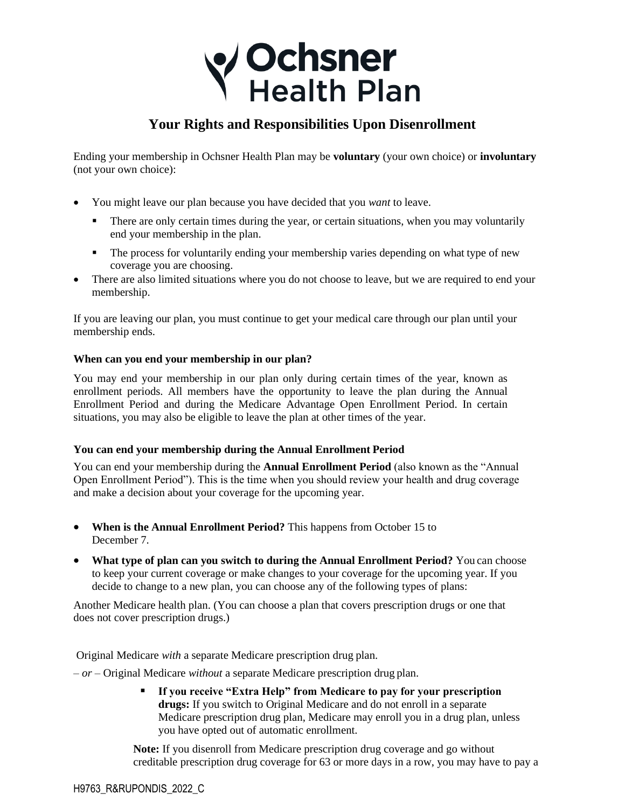# V Ochsner<br>Y Health Plan

## **Your Rights and Responsibilities Upon Disenrollment**

Ending your membership in Ochsner Health Plan may be **voluntary** (your own choice) or **involuntary**  (not your own choice):

- You might leave our plan because you have decided that you *want* to leave.
	- There are only certain times during the year, or certain situations, when you may voluntarily end your membership in the plan.
	- **•** The process for voluntarily ending your membership varies depending on what type of new coverage you are choosing.
- There are also limited situations where you do not choose to leave, but we are required to end your membership.

If you are leaving our plan, you must continue to get your medical care through our plan until your membership ends.

## **When can you end your membership in our plan?**

You may end your membership in our plan only during certain times of the year, known as enrollment periods. All members have the opportunity to leave the plan during the Annual Enrollment Period and during the Medicare Advantage Open Enrollment Period. In certain situations, you may also be eligible to leave the plan at other times of the year.

## **You can end your membership during the Annual Enrollment Period**

You can end your membership during the **Annual Enrollment Period** (also known as the "Annual Open Enrollment Period"). This is the time when you should review your health and drug coverage and make a decision about your coverage for the upcoming year.

- **When is the Annual Enrollment Period?** This happens from October 15 to December 7.
- **What type of plan can you switch to during the Annual Enrollment Period?** You can choose to keep your current coverage or make changes to your coverage for the upcoming year. If you decide to change to a new plan, you can choose any of the following types of plans:

Another Medicare health plan. (You can choose a plan that covers prescription drugs or one that does not cover prescription drugs.)

Original Medicare *with* a separate Medicare prescription drug plan.

*– or –* Original Medicare *without* a separate Medicare prescription drug plan.

If you receive "Extra Help" from Medicare to pay for your prescription **drugs:** If you switch to Original Medicare and do not enroll in a separate Medicare prescription drug plan, Medicare may enroll you in a drug plan, unless you have opted out of automatic enrollment.

**Note:** If you disenroll from Medicare prescription drug coverage and go without creditable prescription drug coverage for 63 or more days in a row, you may have to pay a

H9763\_R&RUPONDIS\_2022\_C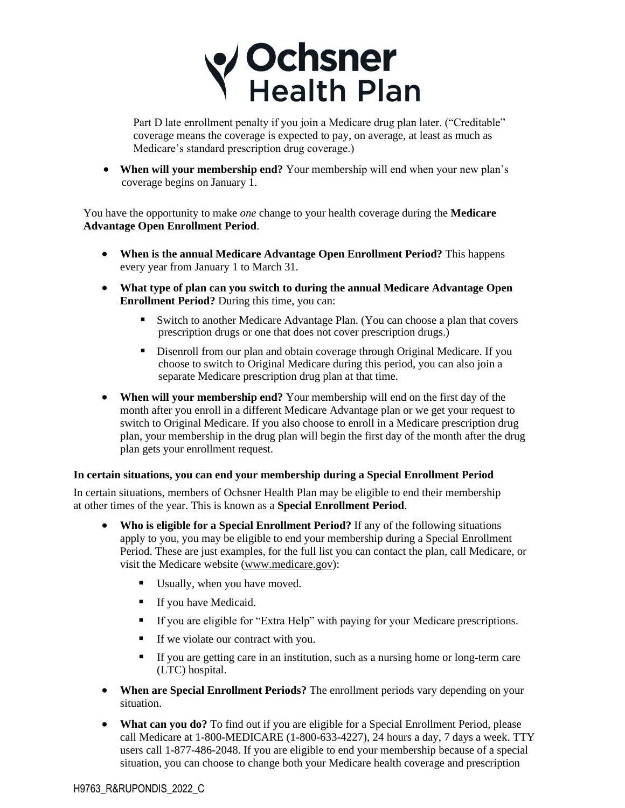

Part D late enrollment penalty if you join a Medicare drug plan later. ("Creditable" coverage means the coverage is expected to pay, on average, at least as much as Medicare's standard prescription drug coverage.)

• **When will your membership end?** Your membership will end when your new plan's coverage begins on January 1.

You have the opportunity to make *one* change to your health coverage during the **Medicare Advantage Open Enrollment Period**.

- **When is the annual Medicare Advantage Open Enrollment Period?** This happens every year from January 1 to March 31.
- **What type of plan can you switch to during the annual Medicare Advantage Open Enrollment Period?** During this time, you can:
	- Switch to another Medicare Advantage Plan. (You can choose a plan that covers prescription drugs or one that does not cover prescription drugs.)
	- **EXECUTE:** Disenroll from our plan and obtain coverage through Original Medicare. If you choose to switch to Original Medicare during this period, you can also join a separate Medicare prescription drug plan at that time.
- **When will your membership end?** Your membership will end on the first day of the month after you enroll in a different Medicare Advantage plan or we get your request to switch to Original Medicare. If you also choose to enroll in a Medicare prescription drug plan, your membership in the drug plan will begin the first day of the month after the drug plan gets your enrollment request.

## **In certain situations, you can end your membership during a Special Enrollment Period**

In certain situations, members of Ochsner Health Plan may be eligible to end their membership at other times of the year. This is known as a **Special Enrollment Period**.

- **Who is eligible for a Special Enrollment Period?** If any of the following situations apply to you, you may be eligible to end your membership during a Special Enrollment Period. These are just examples, for the full list you can contact the plan, call Medicare, or visit the Medicare website (www.medicare.gov):
	- Usually, when you have moved.
	- **•** If you have Medicaid.
	- If you are eligible for "Extra Help" with paying for your Medicare prescriptions.
	- **If we violate our contract with you.**
	- If you are getting care in an institution, such as a nursing home or long-term care (LTC) hospital.
- When are Special Enrollment Periods? The enrollment periods vary depending on your situation.
- **What can you do?** To find out if you are eligible for a Special Enrollment Period, please call Medicare at 1-800-MEDICARE (1-800-633-4227), 24 hours a day, 7 days a week. TTY users call 1-877-486-2048. If you are eligible to end your membership because of a special situation, you can choose to change both your Medicare health coverage and prescription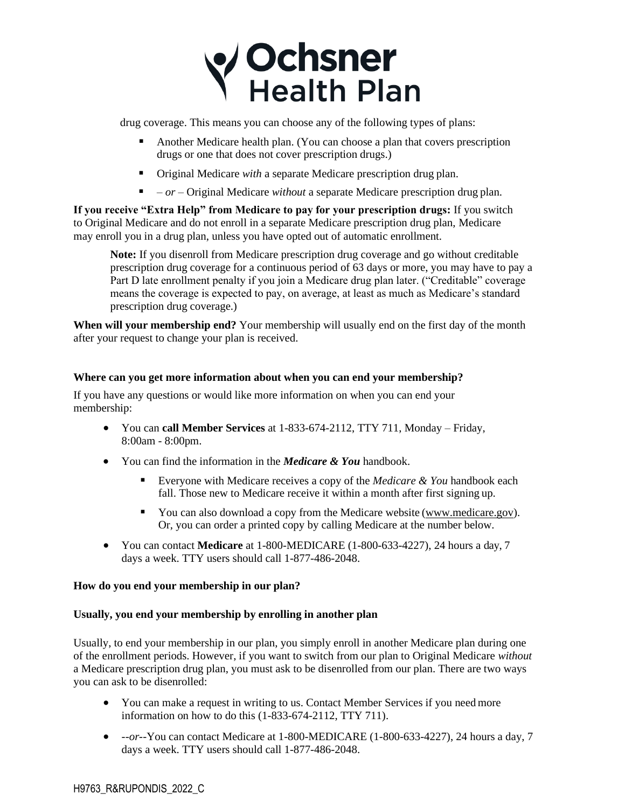# **V Ochsner**<br>Y Health Plan

drug coverage. This means you can choose any of the following types of plans:

- Another Medicare health plan. (You can choose a plan that covers prescription drugs or one that does not cover prescription drugs.)
- Original Medicare *with* a separate Medicare prescription drug plan.
- *or –* Original Medicare *without* a separate Medicare prescription drug plan.

**If you receive "Extra Help" from Medicare to pay for your prescription drugs:** If you switch to Original Medicare and do not enroll in a separate Medicare prescription drug plan, Medicare may enroll you in a drug plan, unless you have opted out of automatic enrollment.

**Note:** If you disenroll from Medicare prescription drug coverage and go without creditable prescription drug coverage for a continuous period of 63 days or more, you may have to pay a Part D late enrollment penalty if you join a Medicare drug plan later. ("Creditable" coverage means the coverage is expected to pay, on average, at least as much as Medicare's standard prescription drug coverage.)

**When will your membership end?** Your membership will usually end on the first day of the month after your request to change your plan is received.

## **Where can you get more information about when you can end your membership?**

If you have any questions or would like more information on when you can end your membership:

- You can **call Member Services** at 1-833-674-2112, TTY 711, Monday Friday, 8:00am - 8:00pm.
- You can find the information in the *Medicare & You* handbook.
	- Everyone with Medicare receives a copy of the *Medicare & You* handbook each fall. Those new to Medicare receive it within a month after first signing up.
	- You can also download a copy from the Medicare website (www.medicare.gov). Or, you can order a printed copy by calling Medicare at the number below.
- You can contact **Medicare** at 1-800-MEDICARE (1-800-633-4227), 24 hours a day, 7 days a week. TTY users should call 1-877-486-2048.

## **How do you end your membership in our plan?**

## **Usually, you end your membership by enrolling in another plan**

Usually, to end your membership in our plan, you simply enroll in another Medicare plan during one of the enrollment periods. However, if you want to switch from our plan to Original Medicare *without*  a Medicare prescription drug plan, you must ask to be disenrolled from our plan. There are two ways you can ask to be disenrolled:

- You can make a request in writing to us. Contact Member Services if you needmore information on how to do this (1-833-674-2112, TTY 711).
- *--or--*You can contact Medicare at 1-800-MEDICARE (1-800-633-4227), 24 hours a day, 7 days a week. TTY users should call 1-877-486-2048.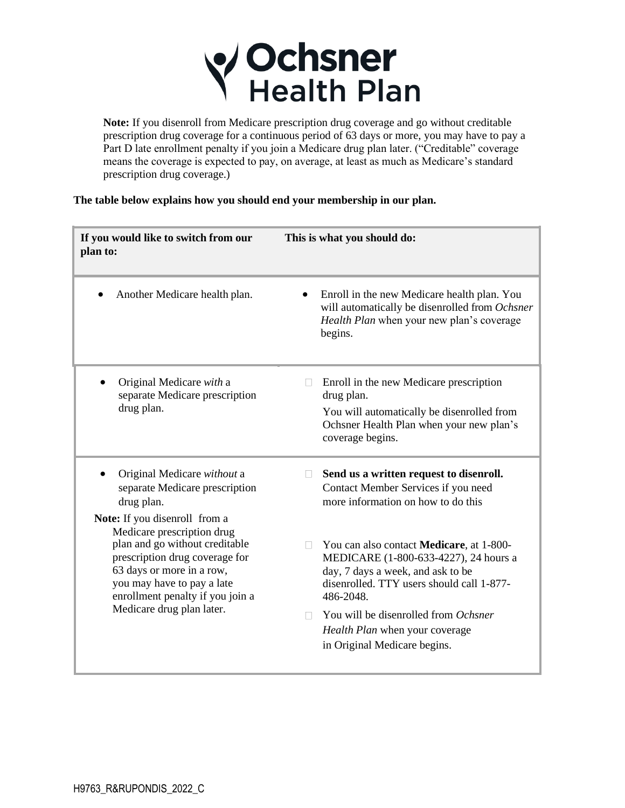

**Note:** If you disenroll from Medicare prescription drug coverage and go without creditable prescription drug coverage for a continuous period of 63 days or more, you may have to pay a Part D late enrollment penalty if you join a Medicare drug plan later. ("Creditable" coverage means the coverage is expected to pay, on average, at least as much as Medicare's standard prescription drug coverage.)

**The table below explains how you should end your membership in our plan.**

| If you would like to switch from our<br>plan to:                                                                                                                                                                           | This is what you should do:                                                                                                                                                                    |
|----------------------------------------------------------------------------------------------------------------------------------------------------------------------------------------------------------------------------|------------------------------------------------------------------------------------------------------------------------------------------------------------------------------------------------|
| Another Medicare health plan.                                                                                                                                                                                              | Enroll in the new Medicare health plan. You<br>will automatically be disenrolled from Ochsner<br>Health Plan when your new plan's coverage<br>begins.                                          |
| Original Medicare with a<br>separate Medicare prescription<br>drug plan.                                                                                                                                                   | Enroll in the new Medicare prescription<br>П<br>drug plan.<br>You will automatically be disenrolled from<br>Ochsner Health Plan when your new plan's<br>coverage begins.                       |
| Original Medicare without a<br>separate Medicare prescription<br>drug plan.<br>Note: If you disenroll from a                                                                                                               | Send us a written request to disenroll.<br>H<br>Contact Member Services if you need<br>more information on how to do this                                                                      |
| Medicare prescription drug<br>plan and go without creditable<br>prescription drug coverage for<br>63 days or more in a row,<br>you may have to pay a late<br>enrollment penalty if you join a<br>Medicare drug plan later. | You can also contact <b>Medicare</b> , at 1-800-<br>П.<br>MEDICARE (1-800-633-4227), 24 hours a<br>day, 7 days a week, and ask to be<br>disenrolled. TTY users should call 1-877-<br>486-2048. |
|                                                                                                                                                                                                                            | You will be disenrolled from Ochsner<br>n.<br>Health Plan when your coverage<br>in Original Medicare begins.                                                                                   |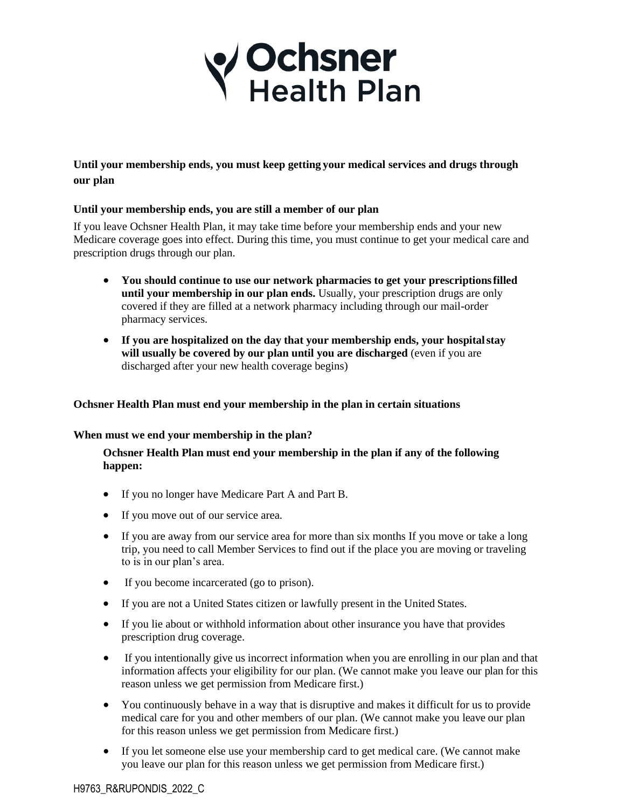

## **Until your membership ends, you must keep getting your medical services and drugs through our plan**

## **Until your membership ends, you are still a member of our plan**

If you leave Ochsner Health Plan, it may take time before your membership ends and your new Medicare coverage goes into effect. During this time, you must continue to get your medical care and prescription drugs through our plan.

- **You should continue to use our network pharmacies to get your prescriptionsfilled until your membership in our plan ends.** Usually, your prescription drugs are only covered if they are filled at a network pharmacy including through our mail-order pharmacy services.
- **If you are hospitalized on the day that your membership ends, your hospitalstay will usually be covered by our plan until you are discharged** (even if you are discharged after your new health coverage begins)

## **Ochsner Health Plan must end your membership in the plan in certain situations**

## **When must we end your membership in the plan?**

**Ochsner Health Plan must end your membership in the plan if any of the following happen:**

- If you no longer have Medicare Part A and Part B.
- If you move out of our service area.
- If you are away from our service area for more than six months If you move or take a long trip, you need to call Member Services to find out if the place you are moving or traveling to is in our plan's area.
- If you become incarcerated (go to prison).
- If you are not a United States citizen or lawfully present in the United States.
- If you lie about or withhold information about other insurance you have that provides prescription drug coverage.
- If you intentionally give us incorrect information when you are enrolling in our plan and that information affects your eligibility for our plan. (We cannot make you leave our plan for this reason unless we get permission from Medicare first.)
- You continuously behave in a way that is disruptive and makes it difficult for us to provide medical care for you and other members of our plan. (We cannot make you leave our plan for this reason unless we get permission from Medicare first.)
- If you let someone else use your membership card to get medical care. (We cannot make you leave our plan for this reason unless we get permission from Medicare first.)